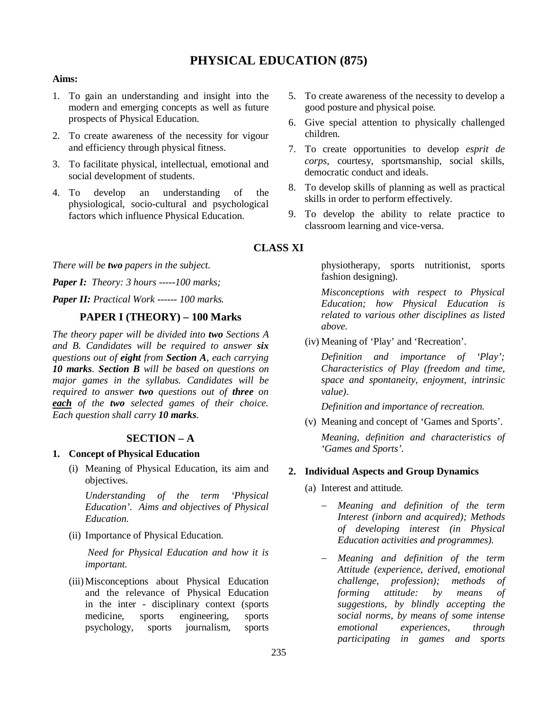# **PHYSICAL EDUCATION (875)**

## **Aims:**

- 1. To gain an understanding and insight into the modern and emerging concepts as well as future prospects of Physical Education.
- 2. To create awareness of the necessity for vigour and efficiency through physical fitness.
- 3. To facilitate physical, intellectual, emotional and social development of students.
- 4. To develop an understanding of the physiological, socio-cultural and psychological factors which influence Physical Education.
- 5. To create awareness of the necessity to develop a good posture and physical poise.
- 6. Give special attention to physically challenged children.
- 7. To create opportunities to develop *esprit de corps*, courtesy, sportsmanship, social skills, democratic conduct and ideals.
- 8. To develop skills of planning as well as practical skills in order to perform effectively.
- 9. To develop the ability to relate practice to classroom learning and vice-versa.

## **CLASS XI**

*There will be two papers in the subject.*

*Paper I: Theory: 3 hours -----100 marks;* 

*Paper II: Practical Work ------ 100 marks.*

## **PAPER I (THEORY) – 100 Marks**

*The theory paper will be divided into two Sections A and B. Candidates will be required to answer six questions out of eight from Section A, each carrying 10 marks. Section B will be based on questions on major games in the syllabus. Candidates will be required to answer two questions out of three on each of the two selected games of their choice. Each question shall carry 10 marks.*

## **SECTION – A**

## **1. Concept of Physical Education**

(i) Meaning of Physical Education, its aim and objectives.

*Understanding of the term 'Physical Education'. Aims and objectives of Physical Education.*

(ii) Importance of Physical Education.

 *Need for Physical Education and how it is important.* 

(iii)Misconceptions about Physical Education and the relevance of Physical Education in the inter - disciplinary context (sports medicine, sports engineering, sports<br>psychology, sports journalism, sports psychology, sports journalism, sports physiotherapy, sports nutritionist, sports fashion designing).

*Misconceptions with respect to Physical Education; how Physical Education is related to various other disciplines as listed above.*

(iv) Meaning of 'Play' and 'Recreation'.

*Definition and importance of 'Play'; Characteristics of Play (freedom and time, space and spontaneity, enjoyment, intrinsic value).*

*Definition and importance of recreation.*

(v) Meaning and concept of 'Games and Sports'.

*Meaning, definition and characteristics of 'Games and Sports'.*

## **2. Individual Aspects and Group Dynamics**

- (a) Interest and attitude.
	- *Meaning and definition of the term Interest (inborn and acquired); Methods of developing interest (in Physical Education activities and programmes).*
	- *Meaning and definition of the term Attitude (experience, derived, emotional challenge, profession); methods of forming attitude: by means of suggestions, by blindly accepting the social norms, by means of some intense emotional experiences, through participating in games and sports*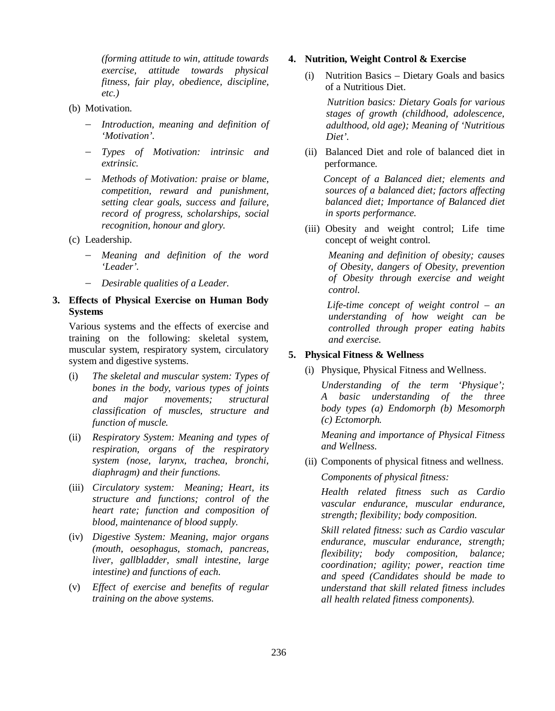*(forming attitude to win, attitude towards exercise, attitude towards physical fitness, fair play, obedience, discipline, etc.)*

- (b) Motivation.
	- *Introduction, meaning and definition of 'Motivation'.*
	- *Types of Motivation: intrinsic and extrinsic.*
	- *Methods of Motivation: praise or blame, competition, reward and punishment, setting clear goals, success and failure, record of progress, scholarships, social recognition, honour and glory.*
- (c) Leadership.
	- *Meaning and definition of the word 'Leader'.*
	- *Desirable qualities of a Leader.*

### **3. Effects of Physical Exercise on Human Body Systems**

Various systems and the effects of exercise and training on the following: skeletal system, muscular system, respiratory system, circulatory system and digestive systems.

- (i) *The skeletal and muscular system: Types of bones in the body, various types of joints and major movements; structural classification of muscles, structure and function of muscle.*
- (ii) *Respiratory System: Meaning and types of respiration, organs of the respiratory system (nose, larynx, trachea, bronchi, diaphragm) and their functions.*
- (iii) *Circulatory system: Meaning; Heart, its structure and functions; control of the heart rate; function and composition of blood, maintenance of blood supply.*
- (iv) *Digestive System: Meaning, major organs (mouth, oesophagus, stomach, pancreas, liver, gallbladder, small intestine, large intestine) and functions of each.*
- (v) *Effect of exercise and benefits of regular training on the above systems.*

#### **4. Nutrition, Weight Control & Exercise**

(i) Nutrition Basics – Dietary Goals and basics of a Nutritious Diet.

> *Nutrition basics: Dietary Goals for various stages of growth (childhood, adolescence, adulthood, old age); Meaning of 'Nutritious Diet'.*

(ii) Balanced Diet and role of balanced diet in performance.

 *Concept of a Balanced diet; elements and sources of a balanced diet; factors affecting balanced diet; Importance of Balanced diet in sports performance.*

(iii) Obesity and weight control; Life time concept of weight control.

> *Meaning and definition of obesity; causes of Obesity, dangers of Obesity, prevention of Obesity through exercise and weight control.*

> *Life-time concept of weight control – an understanding of how weight can be controlled through proper eating habits and exercise.*

### **5. Physical Fitness & Wellness**

(i) Physique, Physical Fitness and Wellness.

*Understanding of the term 'Physique'; A basic understanding of the three body types (a) Endomorph (b) Mesomorph (c) Ectomorph.*

*Meaning and importance of Physical Fitness and Wellness.*

(ii) Components of physical fitness and wellness.

*Components of physical fitness:* 

*Health related fitness such as Cardio vascular endurance, muscular endurance, strength; flexibility; body composition.* 

*Skill related fitness: such as Cardio vascular endurance, muscular endurance, strength; flexibility; body composition, balance; coordination; agility; power, reaction time and speed (Candidates should be made to understand that skill related fitness includes all health related fitness components).*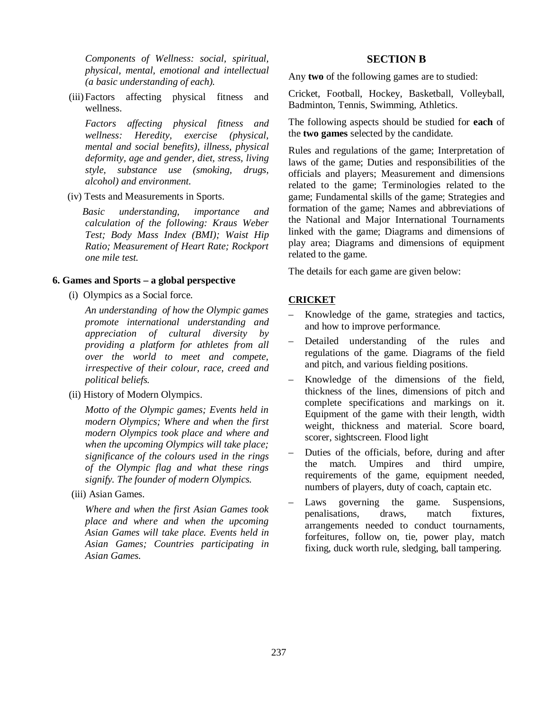*Components of Wellness: social, spiritual, physical, mental, emotional and intellectual (a basic understanding of each).* 

(iii) Factors affecting physical fitness and wellness.

*Factors affecting physical fitness and wellness: Heredity, exercise (physical, mental and social benefits), illness, physical deformity, age and gender, diet, stress, living style, substance use (smoking, drugs, alcohol) and environment.*

(iv) Tests and Measurements in Sports.

 *Basic understanding, importance and calculation of the following: Kraus Weber Test; Body Mass Index (BMI); Waist Hip Ratio; Measurement of Heart Rate; Rockport one mile test.* 

## **6. Games and Sports – a global perspective**

(i)Olympics as a Social force.

*An understanding of how the Olympic games promote international understanding and appreciation of cultural diversity by providing a platform for athletes from all over the world to meet and compete, irrespective of their colour, race, creed and political beliefs.* 

(ii) History of Modern Olympics.

*Motto of the Olympic games; Events held in modern Olympics; Where and when the first modern Olympics took place and where and when the upcoming Olympics will take place; significance of the colours used in the rings of the Olympic flag and what these rings signify. The founder of modern Olympics.* 

(iii) Asian Games.

*Where and when the first Asian Games took place and where and when the upcoming Asian Games will take place. Events held in Asian Games; Countries participating in Asian Games.*

### **SECTION B**

Any **two** of the following games are to studied:

Cricket, Football, Hockey, Basketball, Volleyball, Badminton, Tennis, Swimming, Athletics.

The following aspects should be studied for **each** of the **two games** selected by the candidate.

Rules and regulations of the game; Interpretation of laws of the game; Duties and responsibilities of the officials and players; Measurement and dimensions related to the game; Terminologies related to the game; Fundamental skills of the game; Strategies and formation of the game; Names and abbreviations of the National and Major International Tournaments linked with the game; Diagrams and dimensions of play area; Diagrams and dimensions of equipment related to the game.

The details for each game are given below:

## **CRICKET**

- Knowledge of the game, strategies and tactics, and how to improve performance.
- Detailed understanding of the rules and regulations of the game. Diagrams of the field and pitch, and various fielding positions.
- Knowledge of the dimensions of the field, thickness of the lines, dimensions of pitch and complete specifications and markings on it. Equipment of the game with their length, width weight, thickness and material. Score board, scorer, sightscreen. Flood light
- Duties of the officials, before, during and after the match. Umpires and third umpire, requirements of the game, equipment needed, numbers of players, duty of coach, captain etc.
- Laws governing the game. Suspensions, penalisations, draws, match fixtures, arrangements needed to conduct tournaments, forfeitures, follow on, tie, power play, match fixing, duck worth rule, sledging, ball tampering.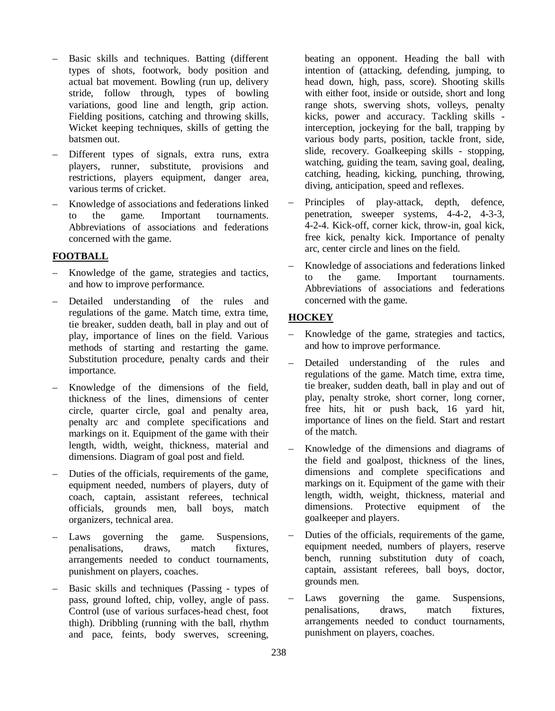- Basic skills and techniques. Batting (different types of shots, footwork, body position and actual bat movement. Bowling (run up, delivery stride, follow through, types of bowling variations, good line and length, grip action. Fielding positions, catching and throwing skills, Wicket keeping techniques, skills of getting the batsmen out.
- Different types of signals, extra runs, extra players, runner, substitute, provisions and restrictions, players equipment, danger area, various terms of cricket.
- Knowledge of associations and federations linked to the game. Important tournaments. Abbreviations of associations and federations concerned with the game.

## **FOOTBALL**

- Knowledge of the game, strategies and tactics, and how to improve performance.
- Detailed understanding of the rules and regulations of the game. Match time, extra time, tie breaker, sudden death, ball in play and out of play, importance of lines on the field. Various methods of starting and restarting the game. Substitution procedure, penalty cards and their importance.
- Knowledge of the dimensions of the field, thickness of the lines, dimensions of center circle, quarter circle, goal and penalty area, penalty arc and complete specifications and markings on it. Equipment of the game with their length, width, weight, thickness, material and dimensions. Diagram of goal post and field.
- Duties of the officials, requirements of the game, equipment needed, numbers of players, duty of coach, captain, assistant referees, technical officials, grounds men, ball boys, match organizers, technical area.
- Laws governing the game. Suspensions, penalisations, draws, match fixtures, arrangements needed to conduct tournaments, punishment on players, coaches.
- Basic skills and techniques (Passing types of pass, ground lofted, chip, volley, angle of pass. Control (use of various surfaces-head chest, foot thigh). Dribbling (running with the ball, rhythm and pace, feints, body swerves, screening,

beating an opponent. Heading the ball with intention of (attacking, defending, jumping, to head down, high, pass, score). Shooting skills with either foot, inside or outside, short and long range shots, swerving shots, volleys, penalty kicks, power and accuracy. Tackling skills interception, jockeying for the ball, trapping by various body parts, position, tackle front, side, slide, recovery. Goalkeeping skills - stopping, watching, guiding the team, saving goal, dealing, catching, heading, kicking, punching, throwing, diving, anticipation, speed and reflexes.

- Principles of play-attack, depth, defence, penetration, sweeper systems, 4-4-2, 4-3-3, 4-2-4. Kick-off, corner kick, throw-in, goal kick, free kick, penalty kick. Importance of penalty arc, center circle and lines on the field.
- Knowledge of associations and federations linked to the game. Important tournaments. Abbreviations of associations and federations concerned with the game.

### **HOCKEY**

- Knowledge of the game, strategies and tactics, and how to improve performance.
- Detailed understanding of the rules and regulations of the game. Match time, extra time, tie breaker, sudden death, ball in play and out of play, penalty stroke, short corner, long corner, free hits, hit or push back, 16 yard hit, importance of lines on the field. Start and restart of the match.
- Knowledge of the dimensions and diagrams of the field and goalpost, thickness of the lines, dimensions and complete specifications and markings on it. Equipment of the game with their length, width, weight, thickness, material and dimensions. Protective equipment of the goalkeeper and players.
- Duties of the officials, requirements of the game, equipment needed, numbers of players, reserve bench, running substitution duty of coach, captain, assistant referees, ball boys, doctor, grounds men.
- Laws governing the game. Suspensions, penalisations, draws, match fixtures, arrangements needed to conduct tournaments, punishment on players, coaches.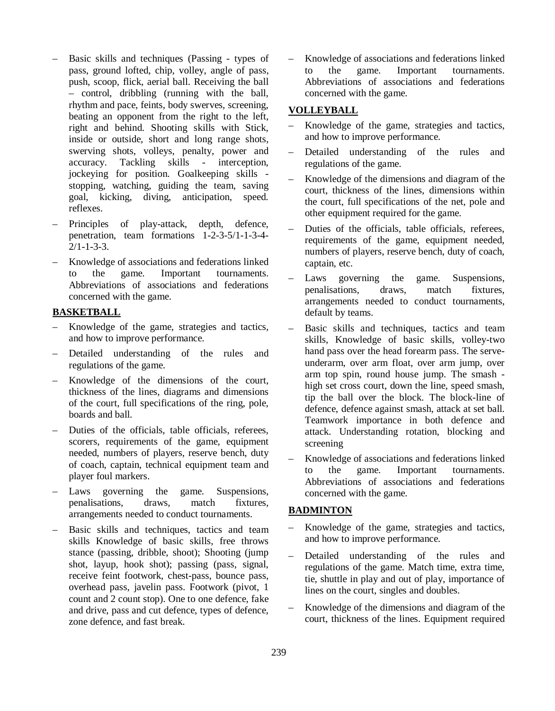- Basic skills and techniques (Passing types of pass, ground lofted, chip, volley, angle of pass, push, scoop, flick, aerial ball. Receiving the ball – control, dribbling (running with the ball, rhythm and pace, feints, body swerves, screening, beating an opponent from the right to the left, right and behind. Shooting skills with Stick, inside or outside, short and long range shots, swerving shots, volleys, penalty, power and accuracy. Tackling skills - interception, accuracy. Tackling skills - interception, jockeying for position. Goalkeeping skills stopping, watching, guiding the team, saving goal, kicking, diving, anticipation, speed. reflexes.
- Principles of play-attack, depth, defence, penetration, team formations 1-2-3-5/1-1-3-4-  $2/1 - 1 - 3 - 3$ .
- Knowledge of associations and federations linked to the game. Important tournaments. Abbreviations of associations and federations concerned with the game.

## **BASKETBALL**

- Knowledge of the game, strategies and tactics, and how to improve performance.
- Detailed understanding of the rules and regulations of the game.
- Knowledge of the dimensions of the court, thickness of the lines, diagrams and dimensions of the court, full specifications of the ring, pole, boards and ball.
- Duties of the officials, table officials, referees, scorers, requirements of the game, equipment needed, numbers of players, reserve bench, duty of coach, captain, technical equipment team and player foul markers.
- Laws governing the game. Suspensions, penalisations, draws, match fixtures, arrangements needed to conduct tournaments.
- Basic skills and techniques, tactics and team skills Knowledge of basic skills, free throws stance (passing, dribble, shoot); Shooting (jump shot, layup, hook shot); passing (pass, signal, receive feint footwork, chest-pass, bounce pass, overhead pass, javelin pass. Footwork (pivot, 1 count and 2 count stop). One to one defence, fake and drive, pass and cut defence, types of defence, zone defence, and fast break.

– Knowledge of associations and federations linked to the game. Important tournaments. Abbreviations of associations and federations concerned with the game.

### **VOLLEYBALL**

- Knowledge of the game, strategies and tactics, and how to improve performance.
- Detailed understanding of the rules and regulations of the game.
- Knowledge of the dimensions and diagram of the court, thickness of the lines, dimensions within the court, full specifications of the net, pole and other equipment required for the game.
- Duties of the officials, table officials, referees, requirements of the game, equipment needed, numbers of players, reserve bench, duty of coach, captain, etc.
- Laws governing the game. Suspensions, penalisations, draws, match fixtures, arrangements needed to conduct tournaments, default by teams.
- Basic skills and techniques, tactics and team skills, Knowledge of basic skills, volley-two hand pass over the head forearm pass. The serveunderarm, over arm float, over arm jump, over arm top spin, round house jump. The smash high set cross court, down the line, speed smash, tip the ball over the block. The block-line of defence, defence against smash, attack at set ball. Teamwork importance in both defence and attack. Understanding rotation, blocking and screening
- Knowledge of associations and federations linked to the game. Important tournaments. Abbreviations of associations and federations concerned with the game.

#### **BADMINTON**

- Knowledge of the game, strategies and tactics, and how to improve performance.
- Detailed understanding of the rules and regulations of the game. Match time, extra time, tie, shuttle in play and out of play, importance of lines on the court, singles and doubles.
- Knowledge of the dimensions and diagram of the court, thickness of the lines. Equipment required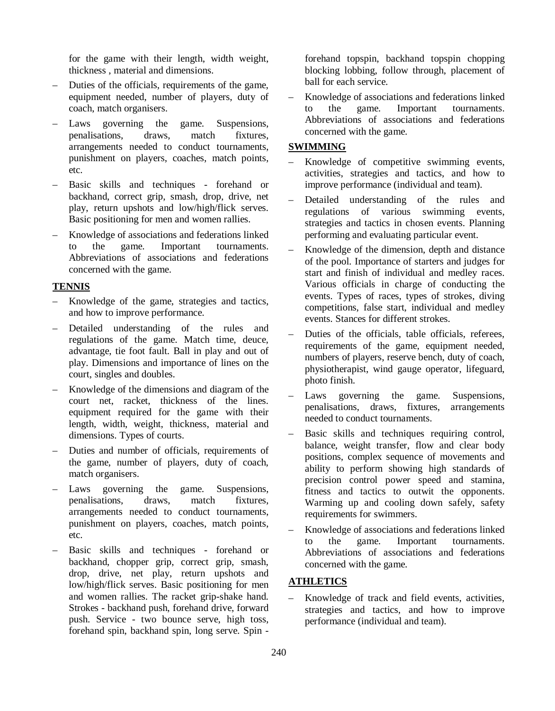for the game with their length, width weight, thickness , material and dimensions.

- Duties of the officials, requirements of the game, equipment needed, number of players, duty of coach, match organisers.
- Laws governing the game. Suspensions, penalisations, draws, match fixtures, arrangements needed to conduct tournaments, punishment on players, coaches, match points, etc.
- Basic skills and techniques forehand or backhand, correct grip, smash, drop, drive, net play, return upshots and low/high/flick serves. Basic positioning for men and women rallies.
- Knowledge of associations and federations linked to the game. Important tournaments. Abbreviations of associations and federations concerned with the game.

#### **TENNIS**

- Knowledge of the game, strategies and tactics, and how to improve performance.
- Detailed understanding of the rules and regulations of the game. Match time, deuce, advantage, tie foot fault. Ball in play and out of play. Dimensions and importance of lines on the court, singles and doubles.
- Knowledge of the dimensions and diagram of the court net, racket, thickness of the lines. equipment required for the game with their length, width, weight, thickness, material and dimensions. Types of courts.
- Duties and number of officials, requirements of the game, number of players, duty of coach, match organisers.
- Laws governing the game. Suspensions, penalisations, draws, match fixtures, arrangements needed to conduct tournaments, punishment on players, coaches, match points, etc.
- Basic skills and techniques forehand or backhand, chopper grip, correct grip, smash, drop, drive, net play, return upshots and low/high/flick serves. Basic positioning for men and women rallies. The racket grip-shake hand. Strokes - backhand push, forehand drive, forward push. Service - two bounce serve, high toss, forehand spin, backhand spin, long serve. Spin -

forehand topspin, backhand topspin chopping blocking lobbing, follow through, placement of ball for each service.

– Knowledge of associations and federations linked to the game. Important tournaments. Abbreviations of associations and federations concerned with the game.

#### **SWIMMING**

- Knowledge of competitive swimming events, activities, strategies and tactics, and how to improve performance (individual and team).
- Detailed understanding of the rules and regulations of various swimming events, strategies and tactics in chosen events. Planning performing and evaluating particular event.
- Knowledge of the dimension, depth and distance of the pool. Importance of starters and judges for start and finish of individual and medley races. Various officials in charge of conducting the events. Types of races, types of strokes, diving competitions, false start, individual and medley events. Stances for different strokes.
- Duties of the officials, table officials, referees, requirements of the game, equipment needed, numbers of players, reserve bench, duty of coach, physiotherapist, wind gauge operator, lifeguard, photo finish.
- Laws governing the game. Suspensions, penalisations, draws, fixtures, arrangements needed to conduct tournaments.
- Basic skills and techniques requiring control, balance, weight transfer, flow and clear body positions, complex sequence of movements and ability to perform showing high standards of precision control power speed and stamina, fitness and tactics to outwit the opponents. Warming up and cooling down safely, safety requirements for swimmers.
- Knowledge of associations and federations linked to the game. Important tournaments. Abbreviations of associations and federations concerned with the game.

#### **ATHLETICS**

– Knowledge of track and field events, activities, strategies and tactics, and how to improve performance (individual and team).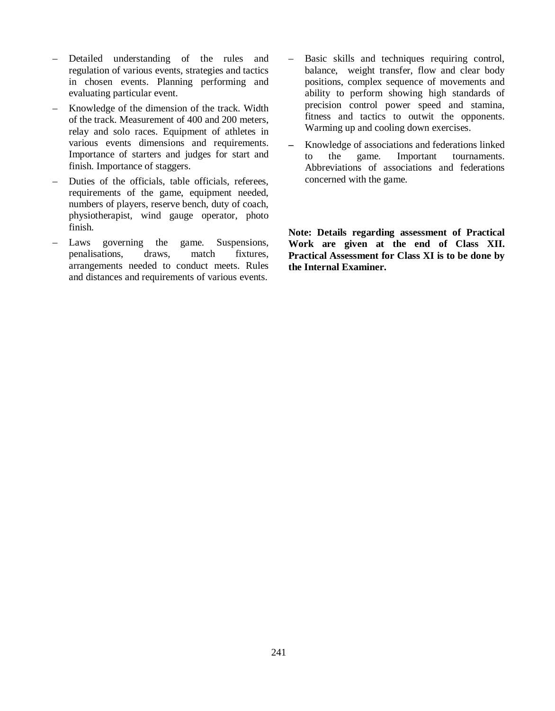- Detailed understanding of the rules and regulation of various events, strategies and tactics in chosen events. Planning performing and evaluating particular event.
- Knowledge of the dimension of the track. Width of the track. Measurement of 400 and 200 meters, relay and solo races. Equipment of athletes in various events dimensions and requirements. Importance of starters and judges for start and finish. Importance of staggers.
- Duties of the officials, table officials, referees, requirements of the game, equipment needed, numbers of players, reserve bench, duty of coach, physiotherapist, wind gauge operator, photo finish.
- Laws governing the game. Suspensions,<br>
penalisations. draws. match fixtures. penalisations, draws, match fixtures, arrangements needed to conduct meets. Rules and distances and requirements of various events.
- Basic skills and techniques requiring control, balance, weight transfer, flow and clear body positions, complex sequence of movements and ability to perform showing high standards of precision control power speed and stamina, fitness and tactics to outwit the opponents. Warming up and cooling down exercises.
- Knowledge of associations and federations linked to the game. Important tournaments. Abbreviations of associations and federations concerned with the game.

**Note: Details regarding assessment of Practical Work are given at the end of Class XII. Practical Assessment for Class XI is to be done by the Internal Examiner.**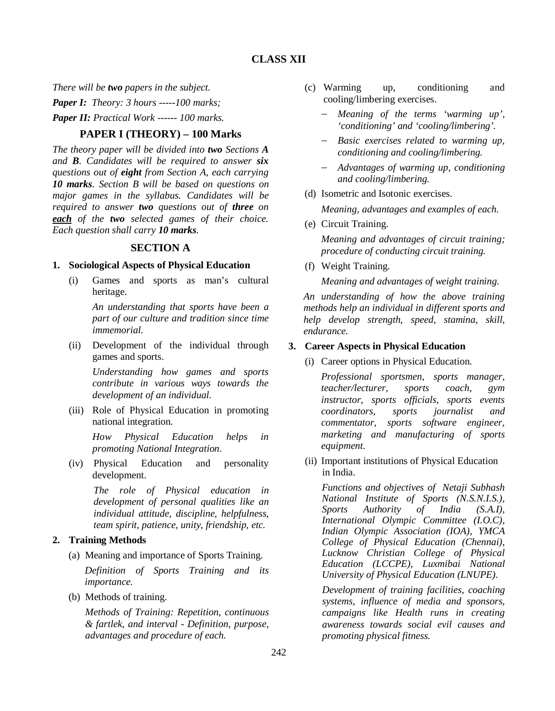## **CLASS XII**

*There will be two papers in the subject.*

*Paper I: Theory: 3 hours -----100 marks;* 

*Paper II: Practical Work ------ 100 marks.*

## **PAPER I (THEORY) – 100 Marks**

*The theory paper will be divided into two Sections A and B. Candidates will be required to answer six questions out of eight from Section A, each carrying 10 marks. Section B will be based on questions on major games in the syllabus. Candidates will be required to answer two questions out of three on each of the two selected games of their choice. Each question shall carry 10 marks.*

### **SECTION A**

#### **1. Sociological Aspects of Physical Education**

(i) Games and sports as man's cultural heritage.

> *An understanding that sports have been a part of our culture and tradition since time immemorial.*

(ii) Development of the individual through games and sports.

> *Understanding how games and sports contribute in various ways towards the development of an individual.*

(iii) Role of Physical Education in promoting national integration.

> *How Physical Education helps in promoting National Integration*.

(iv) Physical Education and personality development.

> *The role of Physical education in development of personal qualities like an individual attitude, discipline, helpfulness, team spirit, patience, unity, friendship, etc.*

## **2. Training Methods**

- (a) Meaning and importance of Sports Training. *Definition of Sports Training and its importance.*
- (b) Methods of training.

*Methods of Training: Repetition, continuous & fartlek, and interval - Definition, purpose, advantages and procedure of each.*

- (c) Warming up, conditioning and cooling/limbering exercises.
	- *Meaning of the terms 'warming up', 'conditioning' and 'cooling/limbering'.*
	- *Basic exercises related to warming up, conditioning and cooling/limbering.*
	- *Advantages of warming up, conditioning and cooling/limbering.*
- (d) Isometric and Isotonic exercises.

*Meaning, advantages and examples of each.*

(e) Circuit Training.

*Meaning and advantages of circuit training; procedure of conducting circuit training.*

(f) Weight Training.

*Meaning and advantages of weight training.* 

*An understanding of how the above training methods help an individual in different sports and help develop strength, speed, stamina, skill, endurance.*

## **3. Career Aspects in Physical Education**

(i) Career options in Physical Education.

*Professional sportsmen, sports manager, teacher/lecturer, sports coach, gym instructor, sports officials, sports events coordinators, sports journalist and commentator, sports software engineer, marketing and manufacturing of sports equipment.* 

(ii) Important institutions of Physical Education in India.

*Functions and objectives of Netaji Subhash National Institute of Sports (N.S.N.I.S.), Sports Authority of India (S.A.I), International Olympic Committee (I.O.C), Indian Olympic Association (IOA), YMCA College of Physical Education (Chennai), Lucknow Christian College of Physical Education (LCCPE), Luxmibai National University of Physical Education (LNUPE).* 

*Development of training facilities, coaching systems, influence of media and sponsors, campaigns like Health runs in creating awareness towards social evil causes and promoting physical fitness.*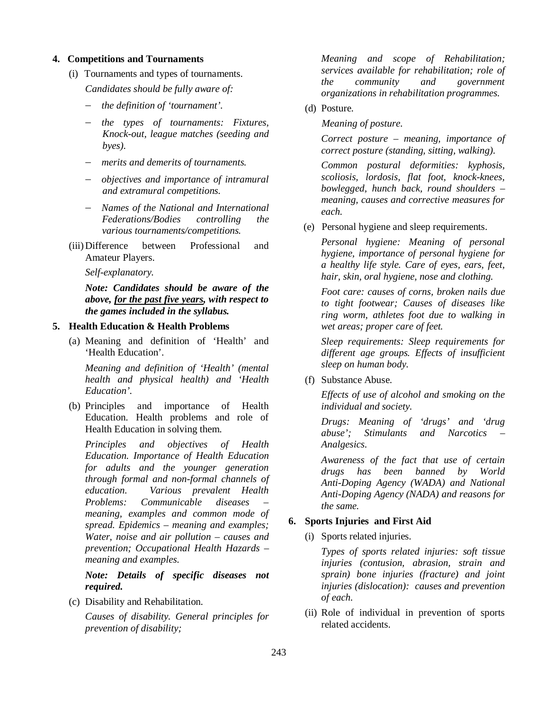#### **4. Competitions and Tournaments**

- (i) Tournaments and types of tournaments. *Candidates should be fully aware of:*
	- *the definition of 'tournament'.*
	- *the types of tournaments: Fixtures, Knock-out, league matches (seeding and byes).*
	- *merits and demerits of tournaments.*
	- *objectives and importance of intramural and extramural competitions.*
	- *Names of the National and International Federations/Bodies controlling the various tournaments/competitions.*
- (iii) Difference between Professional and Amateur Players.

#### *Self-explanatory.*

*Note: Candidates should be aware of the above, for the past five years, with respect to the games included in the syllabus.*

## **5. Health Education & Health Problems**

(a) Meaning and definition of 'Health' and 'Health Education'.

*Meaning and definition of 'Health' (mental health and physical health) and 'Health Education'.*

(b) Principles and importance of Health Education. Health problems and role of Health Education in solving them.

*Principles and objectives of Health Education. Importance of Health Education for adults and the younger generation through formal and non-formal channels of education. Various prevalent Health Problems: Communicable diseases – meaning, examples and common mode of spread. Epidemics – meaning and examples; Water, noise and air pollution – causes and prevention; Occupational Health Hazards – meaning and examples.*

*Note: Details of specific diseases not required.*

(c) Disability and Rehabilitation.

*Causes of disability. General principles for prevention of disability;* 

*Meaning and scope of Rehabilitation; services available for rehabilitation; role of the community and government organizations in rehabilitation programmes.*

(d) Posture.

*Meaning of posture*.

*Correct posture – meaning, importance of correct posture (standing, sitting, walking).*

*Common postural deformities: kyphosis, scoliosis, lordosis, flat foot, knock-knees, bowlegged, hunch back, round shoulders – meaning, causes and corrective measures for each.*

(e) Personal hygiene and sleep requirements.

*Personal hygiene: Meaning of personal hygiene, importance of personal hygiene for a healthy life style. Care of eyes, ears, feet, hair, skin, oral hygiene, nose and clothing.* 

*Foot care: causes of corns, broken nails due to tight footwear; Causes of diseases like ring worm, athletes foot due to walking in wet areas; proper care of feet.*

*Sleep requirements: Sleep requirements for different age groups. Effects of insufficient sleep on human body.*

(f) Substance Abuse.

*Effects of use of alcohol and smoking on the individual and society.* 

*Drugs: Meaning of 'drugs' and 'drug abuse'; Stimulants and Narcotics – Analgesics.* 

*Awareness of the fact that use of certain drugs has been banned by World Anti-Doping Agency (WADA) and National Anti-Doping Agency (NADA) and reasons for the same.*

#### **6. Sports Injuries and First Aid**

(i) Sports related injuries.

*Types of sports related injuries: soft tissue injuries (contusion, abrasion, strain and sprain) bone injuries (fracture) and joint injuries (dislocation): causes and prevention of each.* 

(ii) Role of individual in prevention of sports related accidents.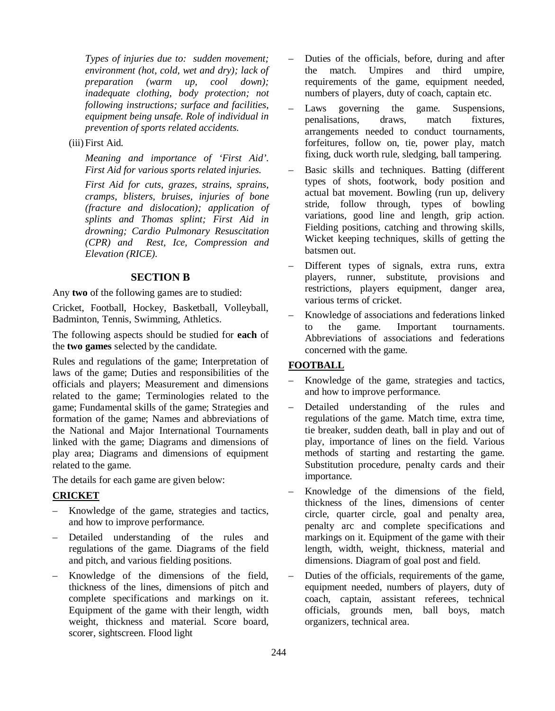*Types of injuries due to: sudden movement; environment (hot, cold, wet and dry); lack of preparation (warm up, cool down); inadequate clothing, body protection; not following instructions; surface and facilities, equipment being unsafe. Role of individual in prevention of sports related accidents.*

## (iii) First Aid.

*Meaning and importance of 'First Aid'. First Aid for various sports related injuries.*

*First Aid for cuts, grazes, strains, sprains, cramps, blisters, bruises, injuries of bone (fracture and dislocation); application of splints and Thomas splint; First Aid in drowning; Cardio Pulmonary Resuscitation (CPR) and Rest, Ice, Compression and Elevation (RICE).*

### **SECTION B**

Any **two** of the following games are to studied:

Cricket, Football, Hockey, Basketball, Volleyball, Badminton, Tennis, Swimming, Athletics.

The following aspects should be studied for **each** of the **two games** selected by the candidate.

Rules and regulations of the game; Interpretation of laws of the game; Duties and responsibilities of the officials and players; Measurement and dimensions related to the game; Terminologies related to the game; Fundamental skills of the game; Strategies and formation of the game; Names and abbreviations of the National and Major International Tournaments linked with the game; Diagrams and dimensions of play area; Diagrams and dimensions of equipment related to the game.

The details for each game are given below:

### **CRICKET**

- Knowledge of the game, strategies and tactics, and how to improve performance.
- Detailed understanding of the rules and regulations of the game. Diagrams of the field and pitch, and various fielding positions.
- Knowledge of the dimensions of the field, thickness of the lines, dimensions of pitch and complete specifications and markings on it. Equipment of the game with their length, width weight, thickness and material. Score board, scorer, sightscreen. Flood light
- Duties of the officials, before, during and after the match. Umpires and third umpire, requirements of the game, equipment needed, numbers of players, duty of coach, captain etc.
- Laws governing the game. Suspensions, penalisations, draws, match fixtures, arrangements needed to conduct tournaments, forfeitures, follow on, tie, power play, match fixing, duck worth rule, sledging, ball tampering.
- Basic skills and techniques. Batting (different types of shots, footwork, body position and actual bat movement. Bowling (run up, delivery stride, follow through, types of bowling variations, good line and length, grip action. Fielding positions, catching and throwing skills, Wicket keeping techniques, skills of getting the batsmen out.
- Different types of signals, extra runs, extra players, runner, substitute, provisions and restrictions, players equipment, danger area, various terms of cricket.
- Knowledge of associations and federations linked to the game. Important tournaments. Abbreviations of associations and federations concerned with the game.

#### **FOOTBALL**

- Knowledge of the game, strategies and tactics, and how to improve performance.
- Detailed understanding of the rules and regulations of the game. Match time, extra time, tie breaker, sudden death, ball in play and out of play, importance of lines on the field. Various methods of starting and restarting the game. Substitution procedure, penalty cards and their importance.
- Knowledge of the dimensions of the field, thickness of the lines, dimensions of center circle, quarter circle, goal and penalty area, penalty arc and complete specifications and markings on it. Equipment of the game with their length, width, weight, thickness, material and dimensions. Diagram of goal post and field.
- Duties of the officials, requirements of the game, equipment needed, numbers of players, duty of coach, captain, assistant referees, technical officials, grounds men, ball boys, match organizers, technical area.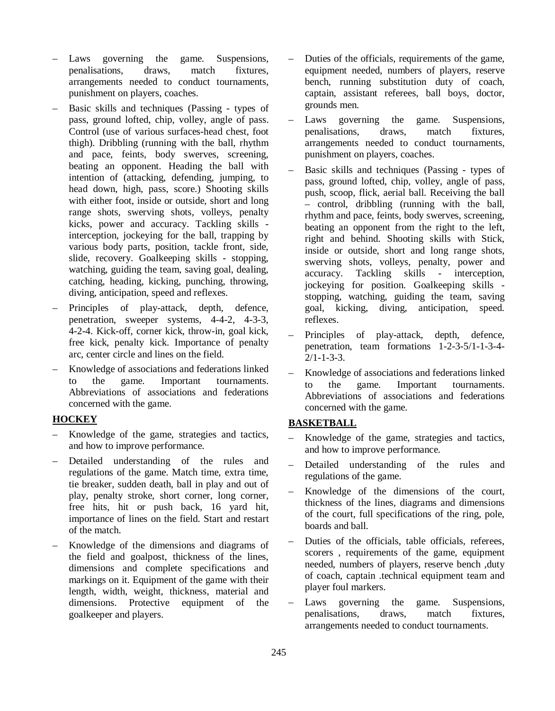- Laws governing the game. Suspensions, penalisations, draws, match fixtures, arrangements needed to conduct tournaments, punishment on players, coaches.
- Basic skills and techniques (Passing types of pass, ground lofted, chip, volley, angle of pass. Control (use of various surfaces-head chest, foot thigh). Dribbling (running with the ball, rhythm and pace, feints, body swerves, screening, beating an opponent. Heading the ball with intention of (attacking, defending, jumping, to head down, high, pass, score.) Shooting skills with either foot, inside or outside, short and long range shots, swerving shots, volleys, penalty kicks, power and accuracy. Tackling skills interception, jockeying for the ball, trapping by various body parts, position, tackle front, side, slide, recovery. Goalkeeping skills - stopping, watching, guiding the team, saving goal, dealing, catching, heading, kicking, punching, throwing, diving, anticipation, speed and reflexes.
- Principles of play-attack, depth, defence, penetration, sweeper systems, 4-4-2, 4-3-3, 4-2-4. Kick-off, corner kick, throw-in, goal kick, free kick, penalty kick. Importance of penalty arc, center circle and lines on the field.
- Knowledge of associations and federations linked to the game. Important tournaments. Abbreviations of associations and federations concerned with the game.

## **HOCKEY**

- Knowledge of the game, strategies and tactics, and how to improve performance.
- Detailed understanding of the rules and regulations of the game. Match time, extra time, tie breaker, sudden death, ball in play and out of play, penalty stroke, short corner, long corner, free hits, hit or push back, 16 yard hit, importance of lines on the field. Start and restart of the match.
- Knowledge of the dimensions and diagrams of the field and goalpost, thickness of the lines, dimensions and complete specifications and markings on it. Equipment of the game with their length, width, weight, thickness, material and dimensions. Protective equipment of the goalkeeper and players.
- Duties of the officials, requirements of the game, equipment needed, numbers of players, reserve bench, running substitution duty of coach, captain, assistant referees, ball boys, doctor, grounds men.
- Laws governing the game. Suspensions, penalisations, draws, match fixtures, arrangements needed to conduct tournaments, punishment on players, coaches.
- Basic skills and techniques (Passing types of pass, ground lofted, chip, volley, angle of pass, push, scoop, flick, aerial ball. Receiving the ball – control, dribbling (running with the ball, rhythm and pace, feints, body swerves, screening, beating an opponent from the right to the left, right and behind. Shooting skills with Stick, inside or outside, short and long range shots, swerving shots, volleys, penalty, power and accuracy. Tackling skills - interception, jockeying for position. Goalkeeping skills stopping, watching, guiding the team, saving goal, kicking, diving, anticipation, speed. reflexes.
- Principles of play-attack, depth, defence, penetration, team formations 1-2-3-5/1-1-3-4-  $2/1 - 1 - 3 - 3$ .
- Knowledge of associations and federations linked to the game. Important tournaments. Abbreviations of associations and federations concerned with the game.

## **BASKETBALL**

- Knowledge of the game, strategies and tactics, and how to improve performance.
- Detailed understanding of the rules and regulations of the game.
- Knowledge of the dimensions of the court, thickness of the lines, diagrams and dimensions of the court, full specifications of the ring, pole, boards and ball.
- Duties of the officials, table officials, referees, scorers , requirements of the game, equipment needed, numbers of players, reserve bench ,duty of coach, captain .technical equipment team and player foul markers.
- Laws governing the game. Suspensions, penalisations, draws, match fixtures, arrangements needed to conduct tournaments.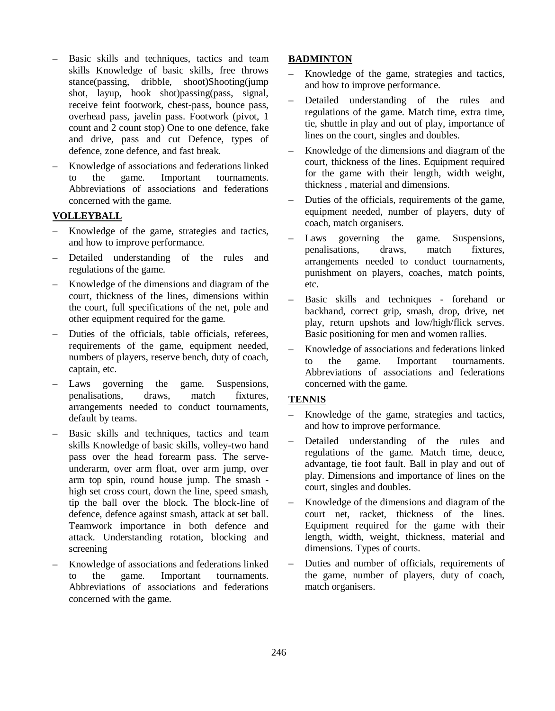- Basic skills and techniques, tactics and team skills Knowledge of basic skills, free throws stance(passing, dribble, shoot)Shooting(jump shot, layup, hook shot)passing(pass, signal, receive feint footwork, chest-pass, bounce pass, overhead pass, javelin pass. Footwork (pivot, 1 count and 2 count stop) One to one defence, fake and drive, pass and cut Defence, types of defence, zone defence, and fast break.
- Knowledge of associations and federations linked to the game. Important tournaments. Abbreviations of associations and federations concerned with the game.

## **VOLLEYBALL**

- Knowledge of the game, strategies and tactics, and how to improve performance.
- Detailed understanding of the rules and regulations of the game.
- Knowledge of the dimensions and diagram of the court, thickness of the lines, dimensions within the court, full specifications of the net, pole and other equipment required for the game.
- Duties of the officials, table officials, referees, requirements of the game, equipment needed, numbers of players, reserve bench, duty of coach, captain, etc.
- Laws governing the game. Suspensions, penalisations, draws, match fixtures, arrangements needed to conduct tournaments, default by teams.
- Basic skills and techniques, tactics and team skills Knowledge of basic skills, volley-two hand pass over the head forearm pass. The serveunderarm, over arm float, over arm jump, over arm top spin, round house jump. The smash high set cross court, down the line, speed smash, tip the ball over the block. The block-line of defence, defence against smash, attack at set ball. Teamwork importance in both defence and attack. Understanding rotation, blocking and screening
- Knowledge of associations and federations linked to the game. Important tournaments. Abbreviations of associations and federations concerned with the game.

## **BADMINTON**

- Knowledge of the game, strategies and tactics, and how to improve performance.
- Detailed understanding of the rules and regulations of the game. Match time, extra time, tie, shuttle in play and out of play, importance of lines on the court, singles and doubles.
- Knowledge of the dimensions and diagram of the court, thickness of the lines. Equipment required for the game with their length, width weight, thickness , material and dimensions.
- Duties of the officials, requirements of the game, equipment needed, number of players, duty of coach, match organisers.
- Laws governing the game. Suspensions, penalisations, draws, match fixtures, arrangements needed to conduct tournaments, punishment on players, coaches, match points, etc.
- Basic skills and techniques forehand or backhand, correct grip, smash, drop, drive, net play, return upshots and low/high/flick serves. Basic positioning for men and women rallies.
- Knowledge of associations and federations linked to the game. Important tournaments. Abbreviations of associations and federations concerned with the game.

## **TENNIS**

- Knowledge of the game, strategies and tactics, and how to improve performance.
- Detailed understanding of the rules and regulations of the game. Match time, deuce, advantage, tie foot fault. Ball in play and out of play. Dimensions and importance of lines on the court, singles and doubles.
- Knowledge of the dimensions and diagram of the court net, racket, thickness of the lines. Equipment required for the game with their length, width, weight, thickness, material and dimensions. Types of courts.
- Duties and number of officials, requirements of the game, number of players, duty of coach, match organisers.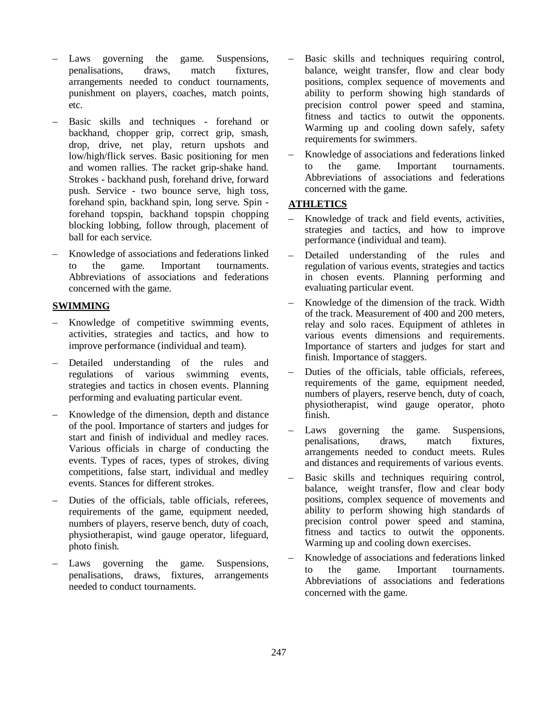- Laws governing the game. Suspensions, penalisations, draws, match fixtures, arrangements needed to conduct tournaments, punishment on players, coaches, match points, etc.
- Basic skills and techniques forehand or backhand, chopper grip, correct grip, smash, drop, drive, net play, return upshots and low/high/flick serves. Basic positioning for men and women rallies. The racket grip-shake hand. Strokes - backhand push, forehand drive, forward push. Service - two bounce serve, high toss, forehand spin, backhand spin, long serve. Spin forehand topspin, backhand topspin chopping blocking lobbing, follow through, placement of ball for each service.
- Knowledge of associations and federations linked to the game. Important tournaments. Abbreviations of associations and federations concerned with the game.

## **SWIMMING**

- Knowledge of competitive swimming events, activities, strategies and tactics, and how to improve performance (individual and team).
- Detailed understanding of the rules and regulations of various swimming events, strategies and tactics in chosen events. Planning performing and evaluating particular event.
- Knowledge of the dimension, depth and distance of the pool. Importance of starters and judges for start and finish of individual and medley races. Various officials in charge of conducting the events. Types of races, types of strokes, diving competitions, false start, individual and medley events. Stances for different strokes.
- Duties of the officials, table officials, referees, requirements of the game, equipment needed, numbers of players, reserve bench, duty of coach, physiotherapist, wind gauge operator, lifeguard, photo finish.
- Laws governing the game. Suspensions, penalisations, draws, fixtures, arrangements needed to conduct tournaments.
- Basic skills and techniques requiring control, balance, weight transfer, flow and clear body positions, complex sequence of movements and ability to perform showing high standards of precision control power speed and stamina, fitness and tactics to outwit the opponents. Warming up and cooling down safely, safety requirements for swimmers.
- Knowledge of associations and federations linked to the game. Important tournaments. Abbreviations of associations and federations concerned with the game.

## **ATHLETICS**

- Knowledge of track and field events, activities, strategies and tactics, and how to improve performance (individual and team).
- Detailed understanding of the rules and regulation of various events, strategies and tactics in chosen events. Planning performing and evaluating particular event.
- Knowledge of the dimension of the track. Width of the track. Measurement of 400 and 200 meters, relay and solo races. Equipment of athletes in various events dimensions and requirements. Importance of starters and judges for start and finish. Importance of staggers.
- Duties of the officials, table officials, referees, requirements of the game, equipment needed, numbers of players, reserve bench, duty of coach, physiotherapist, wind gauge operator, photo finish.
- Laws governing the game. Suspensions, penalisations, draws, match fixtures, arrangements needed to conduct meets. Rules and distances and requirements of various events.
- Basic skills and techniques requiring control, balance, weight transfer, flow and clear body positions, complex sequence of movements and ability to perform showing high standards of precision control power speed and stamina, fitness and tactics to outwit the opponents. Warming up and cooling down exercises.
- Knowledge of associations and federations linked to the game. Important tournaments. Abbreviations of associations and federations concerned with the game.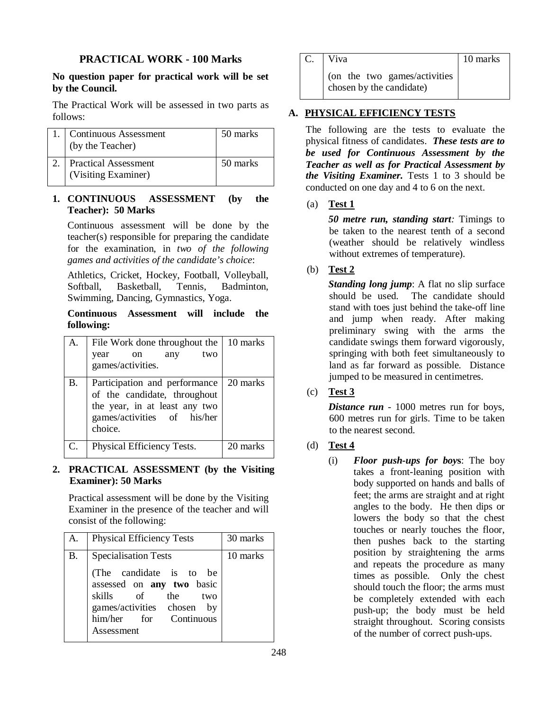## **PRACTICAL WORK - 100 Marks**

## **No question paper for practical work will be set by the Council.**

The Practical Work will be assessed in two parts as follows:

| 1. Continuous Assessment<br>(by the Teacher)       | 50 marks |
|----------------------------------------------------|----------|
| <b>Practical Assessment</b><br>(Visiting Examiner) | 50 marks |

## **1. CONTINUOUS ASSESSMENT (by the Teacher): 50 Marks**

Continuous assessment will be done by the teacher(s) responsible for preparing the candidate for the examination, in *two of the following games and activities of the candidate's choice*:

Athletics, Cricket, Hockey, Football, Volleyball, Softball, Basketball, Tennis, Badminton, Swimming, Dancing, Gymnastics, Yoga.

## **Continuous Assessment will include the following:**

|    | File Work done throughout the<br>two<br>year<br>any<br><sub>on</sub><br>games/activities.                                                | 10 marks |
|----|------------------------------------------------------------------------------------------------------------------------------------------|----------|
| В. | Participation and performance<br>of the candidate, throughout<br>the year, in at least any two<br>games/activities of his/her<br>choice. | 20 marks |
| C. | Physical Efficiency Tests.                                                                                                               | 20 marks |

## **2. PRACTICAL ASSESSMENT (by the Visiting Examiner): 50 Marks**

Practical assessment will be done by the Visiting Examiner in the presence of the teacher and will consist of the following:

| <b>Specialisation Tests</b><br>10 marks<br>Β.<br>(The candidate is to<br>be<br>assessed on any two basic<br>skills<br>of<br>the<br>two<br>games/activities chosen by<br>him/her for Continuous<br>Assessment | A. | <b>Physical Efficiency Tests</b> | 30 marks |
|--------------------------------------------------------------------------------------------------------------------------------------------------------------------------------------------------------------|----|----------------------------------|----------|
|                                                                                                                                                                                                              |    |                                  |          |

C. Viva

(on the two games/activities chosen by the candidate)

## **A. PHYSICAL EFFICIENCY TESTS**

The following are the tests to evaluate the physical fitness of candidates. *These tests are to be used for Continuous Assessment by the Teacher as well as for Practical Assessment by the Visiting Examiner.* Tests 1 to 3 should be conducted on one day and 4 to 6 on the next.

10 marks

## (a) **Test 1**

*50 metre run, standing start:* Timings to be taken to the nearest tenth of a second (weather should be relatively windless without extremes of temperature).

## (b) **Test 2**

*Standing long jump*: A flat no slip surface should be used. The candidate should stand with toes just behind the take-off line and jump when ready. After making preliminary swing with the arms the candidate swings them forward vigorously, springing with both feet simultaneously to land as far forward as possible. Distance jumped to be measured in centimetres.

(c) **Test 3**

*Distance run* - 1000 metres run for boys, 600 metres run for girls. Time to be taken to the nearest second.

- (d) **Test 4**
	- (i) *Floor push-ups for boy***s**: The boy takes a front-leaning position with body supported on hands and balls of feet; the arms are straight and at right angles to the body. He then dips or lowers the body so that the chest touches or nearly touches the floor, then pushes back to the starting position by straightening the arms and repeats the procedure as many times as possible. Only the chest should touch the floor; the arms must be completely extended with each push-up; the body must be held straight throughout. Scoring consists of the number of correct push-ups.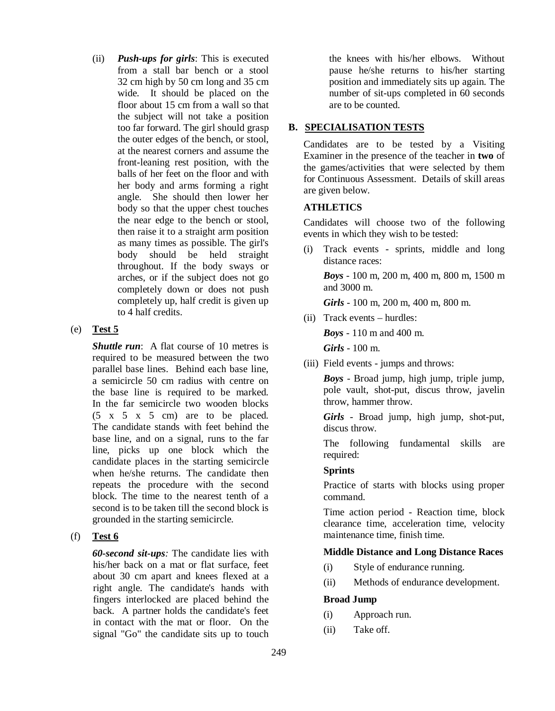(ii) *Push-ups for girls*: This is executed from a stall bar bench or a stool 32 cm high by 50 cm long and 35 cm wide. It should be placed on the floor about 15 cm from a wall so that the subject will not take a position too far forward. The girl should grasp the outer edges of the bench, or stool, at the nearest corners and assume the front-leaning rest position, with the balls of her feet on the floor and with her body and arms forming a right angle. She should then lower her body so that the upper chest touches the near edge to the bench or stool, then raise it to a straight arm position as many times as possible. The girl's body should be held straight throughout. If the body sways or arches, or if the subject does not go completely down or does not push completely up, half credit is given up to 4 half credits.

## (e) **Test 5**

*Shuttle run*: A flat course of 10 metres is required to be measured between the two parallel base lines. Behind each base line, a semicircle 50 cm radius with centre on the base line is required to be marked. In the far semicircle two wooden blocks  $(5 \times 5 \times 5 \text{ cm})$  are to be placed. The candidate stands with feet behind the base line, and on a signal, runs to the far line, picks up one block which the candidate places in the starting semicircle when he/she returns. The candidate then repeats the procedure with the second block. The time to the nearest tenth of a second is to be taken till the second block is grounded in the starting semicircle.

## (f) **Test 6**

*60-second sit-ups:* The candidate lies with his/her back on a mat or flat surface, feet about 30 cm apart and knees flexed at a right angle. The candidate's hands with fingers interlocked are placed behind the back. A partner holds the candidate's feet in contact with the mat or floor. On the signal "Go" the candidate sits up to touch

the knees with his/her elbows. Without pause he/she returns to his/her starting position and immediately sits up again. The number of sit-ups completed in 60 seconds are to be counted.

## **B. SPECIALISATION TESTS**

Candidates are to be tested by a Visiting Examiner in the presence of the teacher in **two** of the games/activities that were selected by them for Continuous Assessment. Details of skill areas are given below.

## **ATHLETICS**

Candidates will choose two of the following events in which they wish to be tested:

(i) Track events - sprints, middle and long distance races:

*Boys* - 100 m, 200 m, 400 m, 800 m, 1500 m and 3000 m.

*Girls* - 100 m, 200 m, 400 m, 800 m.

(ii) Track events – hurdles:

*Boys* - 110 m and 400 m.

*Girls* - 100 m.

(iii) Field events - jumps and throws:

*Boys* - Broad jump, high jump, triple jump, pole vault, shot-put, discus throw, javelin throw, hammer throw.

*Girls* - Broad jump, high jump, shot-put, discus throw.

The following fundamental skills are required:

## **Sprints**

Practice of starts with blocks using proper command.

Time action period - Reaction time, block clearance time, acceleration time, velocity maintenance time, finish time.

## **Middle Distance and Long Distance Races**

- (i) Style of endurance running.
- (ii) Methods of endurance development.

## **Broad Jump**

- (i) Approach run.
- (ii) Take off.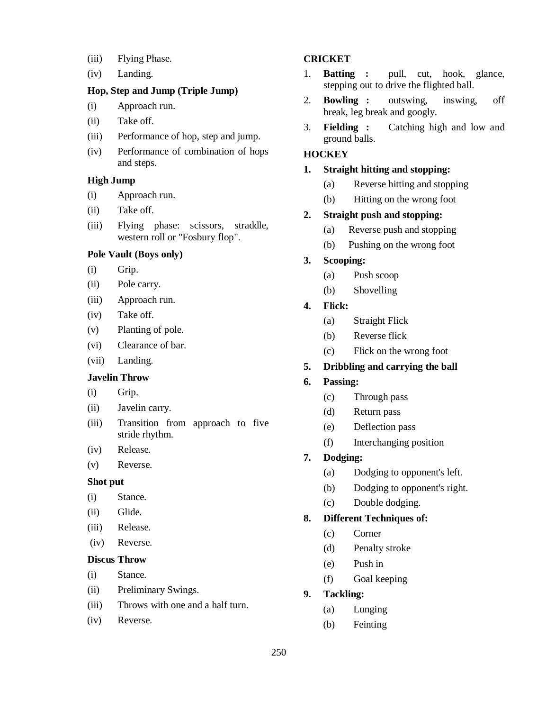- (iii) Flying Phase.
- (iv) Landing.

## **Hop, Step and Jump (Triple Jump)**

- (i) Approach run.
- (ii) Take off.
- (iii) Performance of hop, step and jump.
- (iv) Performance of combination of hops and steps.

## **High Jump**

- (i) Approach run.
- (ii) Take off.
- (iii) Flying phase: scissors, straddle, western roll or "Fosbury flop".

## **Pole Vault (Boys only)**

- (i) Grip.
- (ii) Pole carry.
- (iii) Approach run.
- (iv) Take off.
- (v) Planting of pole.
- (vi) Clearance of bar.
- (vii) Landing.

### **Javelin Throw**

- (i) Grip.
- (ii) Javelin carry.
- (iii) Transition from approach to five stride rhythm.
- (iv) Release.
- (v) Reverse.

#### **Shot put**

- (i) Stance.
- (ii) Glide.
- (iii) Release.
- (iv) Reverse.

#### **Discus Throw**

- (i) Stance.
- (ii) Preliminary Swings.
- (iii) Throws with one and a half turn.
- (iv) Reverse.

## **CRICKET**

- 1. **Batting :** pull, cut, hook, glance, stepping out to drive the flighted ball.
- 2. **Bowling :** outswing, inswing, off break, leg break and googly.
- 3. **Fielding :** Catching high and low and ground balls.

### **HOCKEY**

## **1. Straight hitting and stopping:**

- (a) Reverse hitting and stopping
- (b) Hitting on the wrong foot

## **2. Straight push and stopping:**

- (a) Reverse push and stopping
- (b) Pushing on the wrong foot

#### **3. Scooping:**

- (a) Push scoop
- (b) Shovelling
- **4. Flick:**
	- (a) Straight Flick
	- (b) Reverse flick
	- (c) Flick on the wrong foot

#### **5. Dribbling and carrying the ball**

- **6. Passing:**
	- (c) Through pass
	- (d) Return pass
	- (e) Deflection pass
	- (f) Interchanging position
- **7. Dodging:**
	- (a) Dodging to opponent's left.
	- (b) Dodging to opponent's right.
	- (c) Double dodging.

#### **8. Different Techniques of:**

- (c) Corner
- (d) Penalty stroke
- (e) Push in
- (f) Goal keeping
- **9. Tackling:**
	- (a) Lunging
	- (b) Feinting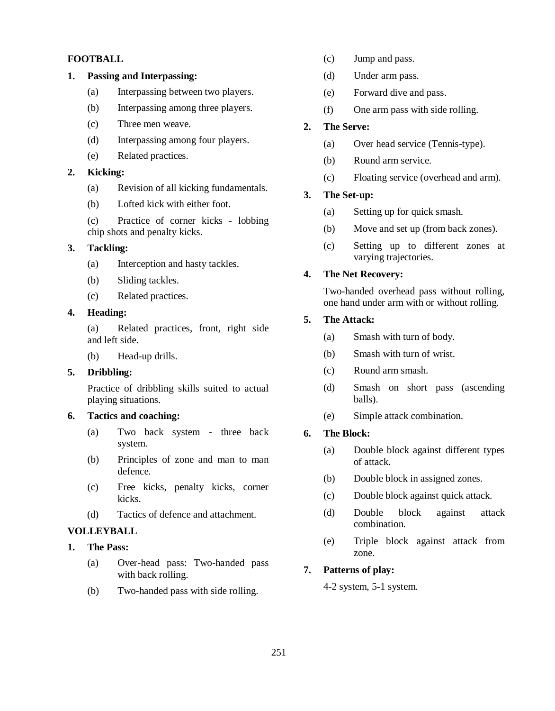## **FOOTBALL**

## **1. Passing and Interpassing:**

- (a) Interpassing between two players.
- (b) Interpassing among three players.
- (c) Three men weave.
- (d) Interpassing among four players.
- (e) Related practices.

### **2. Kicking:**

- (a) Revision of all kicking fundamentals.
- (b) Lofted kick with either foot.

(c) Practice of corner kicks - lobbing chip shots and penalty kicks.

#### **3. Tackling:**

- (a) Interception and hasty tackles.
- (b) Sliding tackles.
- (c) Related practices.

## **4. Heading:**

(a) Related practices, front, right side and left side.

(b) Head-up drills.

### **5. Dribbling:**

Practice of dribbling skills suited to actual playing situations.

### **6. Tactics and coaching:**

- (a) Two back system three back system.
- (b) Principles of zone and man to man defence.
- (c) Free kicks, penalty kicks, corner kicks.
- (d) Tactics of defence and attachment.

#### **VOLLEYBALL**

## **1. The Pass:**

- (a) Over-head pass: Two-handed pass with back rolling.
- (b) Two-handed pass with side rolling.
- (c) Jump and pass.
- (d) Under arm pass.
- (e) Forward dive and pass.
- (f) One arm pass with side rolling.

### **2. The Serve:**

- (a) Over head service (Tennis-type).
- (b) Round arm service.
- (c) Floating service (overhead and arm).

### **3. The Set-up:**

- (a) Setting up for quick smash.
- (b) Move and set up (from back zones).
- (c) Setting up to different zones at varying trajectories.

#### **4. The Net Recovery:**

Two-handed overhead pass without rolling, one hand under arm with or without rolling.

#### **5. The Attack:**

- (a) Smash with turn of body.
- (b) Smash with turn of wrist.
- (c) Round arm smash.
- (d) Smash on short pass (ascending balls).
- (e) Simple attack combination.

#### **6. The Block:**

- (a) Double block against different types of attack.
- (b) Double block in assigned zones.
- (c) Double block against quick attack.
- (d) Double block against attack combination.
- (e) Triple block against attack from zone.

## **7. Patterns of play:**

4-2 system, 5-1 system.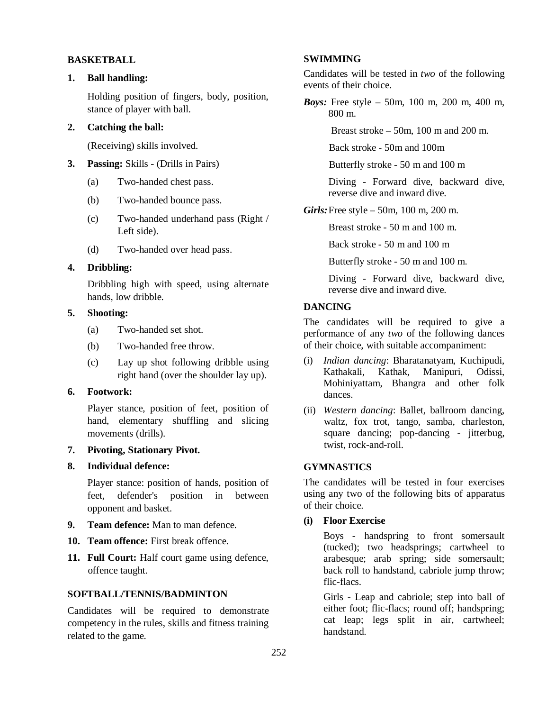#### **BASKETBALL**

### **1. Ball handling:**

Holding position of fingers, body, position, stance of player with ball.

### **2. Catching the ball:**

(Receiving) skills involved.

- **3. Passing:** Skills (Drills in Pairs)
	- (a) Two-handed chest pass.
	- (b) Two-handed bounce pass.
	- (c) Two-handed underhand pass (Right / Left side).
	- (d) Two-handed over head pass.

### **4. Dribbling:**

Dribbling high with speed, using alternate hands, low dribble.

#### **5. Shooting:**

- (a) Two-handed set shot.
- (b) Two-handed free throw.
- (c) Lay up shot following dribble using right hand (over the shoulder lay up).
- **6. Footwork:**

Player stance, position of feet, position of hand, elementary shuffling and slicing movements (drills).

## **7. Pivoting, Stationary Pivot.**

**8. Individual defence:**

Player stance: position of hands, position of feet, defender's position in between opponent and basket.

- **9. Team defence:** Man to man defence.
- **10. Team offence:** First break offence.
- **11. Full Court:** Half court game using defence, offence taught.

#### **SOFTBALL/TENNIS/BADMINTON**

Candidates will be required to demonstrate competency in the rules, skills and fitness training related to the game.

#### **SWIMMING**

Candidates will be tested in *two* of the following events of their choice.

*Boys:* Free style – 50m, 100 m, 200 m, 400 m, 800 m.

Breast stroke  $-50$ m, 100 m and 200 m.

Back stroke - 50m and 100m

Butterfly stroke - 50 m and 100 m

Diving - Forward dive, backward dive, reverse dive and inward dive.

*Girls:*Free style – 50m, 100 m, 200 m.

Breast stroke - 50 m and 100 m.

Back stroke - 50 m and 100 m

Butterfly stroke - 50 m and 100 m.

Diving - Forward dive, backward dive, reverse dive and inward dive.

## **DANCING**

The candidates will be required to give a performance of any *two* of the following dances of their choice, with suitable accompaniment:

- (i) *Indian dancing*: Bharatanatyam, Kuchipudi, Kathakali, Kathak, Manipuri, Odissi, Mohiniyattam, Bhangra and other folk dances.
- (ii) *Western dancing*: Ballet, ballroom dancing, waltz, fox trot, tango, samba, charleston, square dancing; pop-dancing - jitterbug, twist, rock-and-roll.

## **GYMNASTICS**

The candidates will be tested in four exercises using any two of the following bits of apparatus of their choice.

### **(i) Floor Exercise**

Boys - handspring to front somersault (tucked); two headsprings; cartwheel to arabesque; arab spring; side somersault; back roll to handstand, cabriole jump throw; flic-flacs.

Girls - Leap and cabriole; step into ball of either foot; flic-flacs; round off; handspring; cat leap; legs split in air, cartwheel; handstand.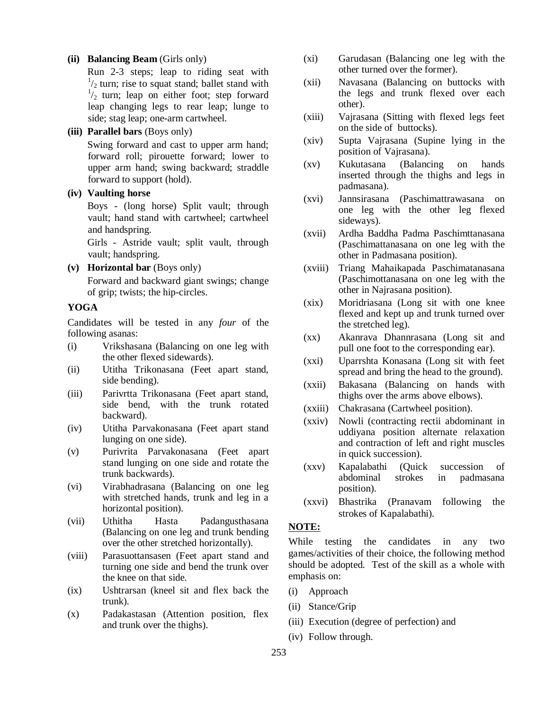#### **(ii) Balancing Beam** (Girls only)

Run 2-3 steps; leap to riding seat with  $\frac{1}{2}$  turn; rise to squat stand; ballet stand with  $\frac{1}{2}$  turn; leap on either foot; step forward leap changing legs to rear leap; lunge to side; stag leap; one-arm cartwheel.

### **(iii) Parallel bars** (Boys only)

Swing forward and cast to upper arm hand; forward roll; pirouette forward; lower to upper arm hand; swing backward; straddle forward to support (hold).

**(iv) Vaulting horse**

Boys - (long horse) Split vault; through vault; hand stand with cartwheel; cartwheel and handspring.

Girls - Astride vault; split vault, through vault; handspring.

**(v) Horizontal bar** (Boys only)

Forward and backward giant swings; change of grip; twists; the hip-circles.

## **YOGA**

Candidates will be tested in any *four* of the following asanas:

- (i) Vrikshasana (Balancing on one leg with the other flexed sidewards).
- (ii) Utitha Trikonasana (Feet apart stand, side bending).
- (iii) Parivrtta Trikonasana (Feet apart stand, side bend, with the trunk rotated backward).
- (iv) Utitha Parvakonasana (Feet apart stand lunging on one side).
- (v) Purivrita Parvakonasana (Feet apart stand lunging on one side and rotate the trunk backwards).
- (vi) Virabhadrasana (Balancing on one leg with stretched hands, trunk and leg in a horizontal position).
- (vii) Uthitha Hasta Padangusthasana (Balancing on one leg and trunk bending over the other stretched horizontally).
- (viii) Parasuottansasen (Feet apart stand and turning one side and bend the trunk over the knee on that side.
- (ix) Ushtrarsan (kneel sit and flex back the trunk).
- (x) Padakastasan (Attention position, flex and trunk over the thighs).
- (xi) Garudasan (Balancing one leg with the other turned over the former).
- (xii) Navasana (Balancing on buttocks with the legs and trunk flexed over each other).
- (xiii) Vajrasana (Sitting with flexed legs feet on the side of buttocks).
- (xiv) Supta Vajrasana (Supine lying in the position of Vajrasana).
- (xv) Kukutasana (Balancing on hands inserted through the thighs and legs in padmasana).
- (xvi) Jannsirasana (Paschimattrawasana on one leg with the other leg flexed sideways).
- (xvii) Ardha Baddha Padma Paschimttanasana (Paschimattanasana on one leg with the other in Padmasana position).
- (xviii) Triang Mahaikapada Paschimatanasana (Paschimottanasana on one leg with the other in Najrasana position).
- (xix) Moridriasana (Long sit with one knee flexed and kept up and trunk turned over the stretched leg).
- (xx) Akanrava Dhannrasana (Long sit and pull one foot to the corresponding ear).
- (xxi) Uparrshta Konasana (Long sit with feet spread and bring the head to the ground).
- (xxii) Bakasana (Balancing on hands with thighs over the arms above elbows).
- (xxiii) Chakrasana (Cartwheel position).
- (xxiv) Nowli (contracting rectii abdominant in uddiyana position alternate relaxation and contraction of left and right muscles in quick succession).
- (xxv) Kapalabathi (Quick succession of abdominal strokes in padmasana position).
- (xxvi) Bhastrika (Pranavam following the strokes of Kapalabathi).

## **NOTE:**

While testing the candidates in any two games/activities of their choice, the following method should be adopted. Test of the skill as a whole with emphasis on:

- (i) Approach
- (ii) Stance/Grip
- (iii) Execution (degree of perfection) and
- (iv) Follow through.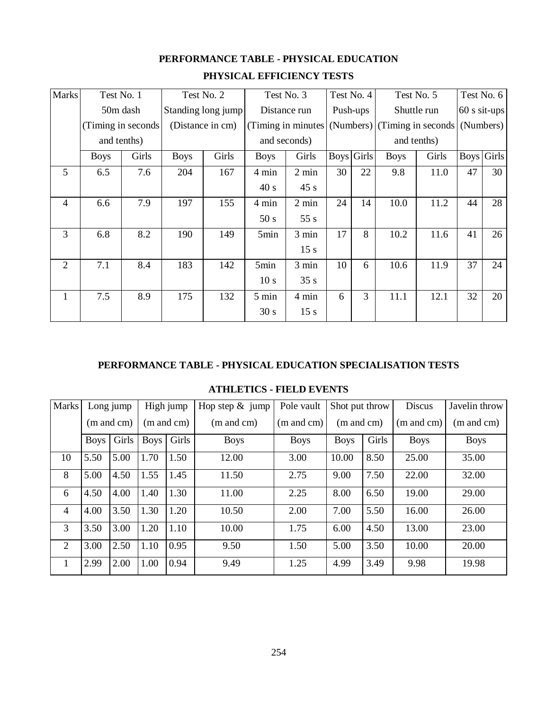# **PERFORMANCE TABLE - PHYSICAL EDUCATION PHYSICAL EFFICIENCY TESTS**

| <b>Marks</b>   | Test No. 1          |       |                    | Test No. 2       | Test No. 3      |                     | Test No. 4        |    | Test No. 5                    |             | Test No. 6     |                   |
|----------------|---------------------|-------|--------------------|------------------|-----------------|---------------------|-------------------|----|-------------------------------|-------------|----------------|-------------------|
|                | 50m dash            |       | Standing long jump |                  | Distance run    |                     | Push-ups          |    | Shuttle run                   |             | $60$ s sit-ups |                   |
|                | (Timing in seconds) |       |                    | (Distance in cm) |                 | (Timing in minutes) |                   |    | (Numbers) (Timing in seconds) |             |                | (Numbers)         |
|                | and tenths)         |       |                    |                  | and seconds)    |                     |                   |    |                               | and tenths) |                |                   |
|                | <b>Boys</b>         | Girls | <b>Boys</b>        | Girls            | <b>Boys</b>     | Girls               | <b>Boys</b> Girls |    | <b>Boys</b>                   | Girls       |                | <b>Boys</b> Girls |
| 5              | 6.5                 | 7.6   | 204                | 167              | 4 min           | $2 \text{ min}$     | 30                | 22 | 9.8                           | 11.0        | 47             | 30                |
|                |                     |       |                    |                  | 40 s            | 45s                 |                   |    |                               |             |                |                   |
| $\overline{4}$ | 6.6                 | 7.9   | 197                | 155              | 4 min           | $2 \text{ min}$     | 24                | 14 | 10.0                          | 11.2        | 44             | 28                |
|                |                     |       |                    |                  | 50 s            | 55 s                |                   |    |                               |             |                |                   |
| 3              | 6.8                 | 8.2   | 190                | 149              | 5min            | 3 min               | 17                | 8  | 10.2                          | 11.6        | 41             | 26                |
|                |                     |       |                    |                  |                 | 15 <sub>s</sub>     |                   |    |                               |             |                |                   |
| $\overline{2}$ | 7.1                 | 8.4   | 183                | 142              | 5min            | 3 min               | 10                | 6  | 10.6                          | 11.9        | 37             | 24                |
|                |                     |       |                    |                  | 10 <sub>s</sub> | 35s                 |                   |    |                               |             |                |                   |
| 1              | 7.5                 | 8.9   | 175                | 132              | 5 min           | 4 min               | 6                 | 3  | 11.1                          | 12.1        | 32             | 20                |
|                |                     |       |                    |                  | 30 s            | 15 <sub>s</sub>     |                   |    |                               |             |                |                   |

## **PERFORMANCE TABLE - PHYSICAL EDUCATION SPECIALISATION TESTS**

# **ATHLETICS - FIELD EVENTS**

| <b>Marks</b> |             | Long jump | High jump            |      | Hop step $&$ jump     | Pole vault  | Shot put throw        |       | <b>Discus</b>         | Javelin throw |
|--------------|-------------|-----------|----------------------|------|-----------------------|-------------|-----------------------|-------|-----------------------|---------------|
|              | (m and cm)  |           | (m and cm)           |      | $(m \text{ and } cm)$ | (m and cm)  | $(m \text{ and } cm)$ |       | $(m \text{ and } cm)$ | (m and cm)    |
|              | <b>Boys</b> | Girls     | Girls<br><b>Boys</b> |      | <b>Boys</b>           | <b>Boys</b> | <b>Boys</b>           | Girls | <b>Boys</b>           | <b>Boys</b>   |
| 10           | 5.50        | 5.00      | 1.70                 | 1.50 | 12.00                 | 3.00        | 10.00                 | 8.50  | 25.00                 | 35.00         |
| 8            | 5.00        | 4.50      | 1.55                 | 1.45 | 11.50                 | 2.75        | 9.00                  | 7.50  | 22.00                 | 32.00         |
| 6            | 4.50        | 4.00      | 1.40                 | 1.30 | 11.00                 | 2.25        | 8.00                  | 6.50  | 19.00                 | 29.00         |
| 4            | 4.00        | 3.50      | 1.30                 | 1.20 | 10.50                 | 2.00        | 7.00                  | 5.50  | 16.00                 | 26.00         |
| 3            | 3.50        | 3.00      | 1.20                 | 1.10 | 10.00                 | 1.75        | 6.00                  | 4.50  | 13.00                 | 23.00         |
| 2            | 3.00        | 2.50      | 1.10                 | 0.95 | 9.50                  | 1.50        | 5.00                  | 3.50  | 10.00                 | 20.00         |
| 1            | 2.99        | 2.00      | 1.00                 | 0.94 | 9.49                  | 1.25        | 4.99                  | 3.49  | 9.98                  | 19.98         |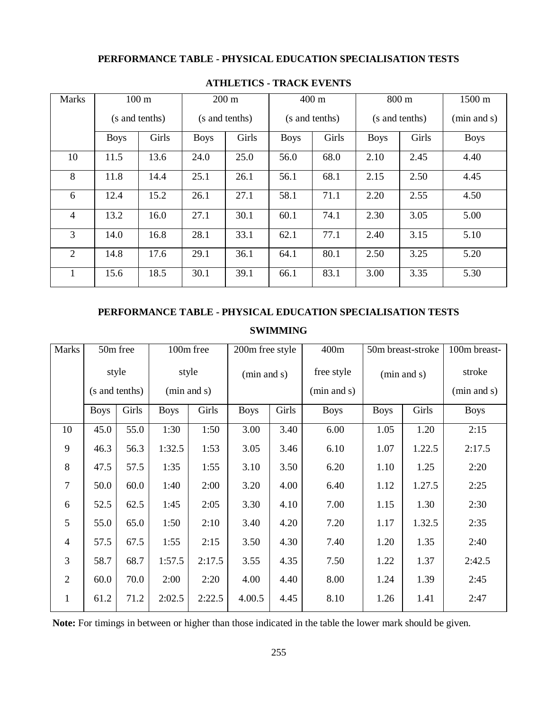## **PERFORMANCE TABLE - PHYSICAL EDUCATION SPECIALISATION TESTS**

| <b>Marks</b>   | $100 \text{ m}$ |       | $200 \text{ m}$ |       |                | $400 \text{ m}$ |                | 800 m | 1500 m      |
|----------------|-----------------|-------|-----------------|-------|----------------|-----------------|----------------|-------|-------------|
|                | (s and tenths)  |       | (s and tenths)  |       | (s and tenths) |                 | (s and tenths) |       | (min and s) |
|                | <b>Boys</b>     | Girls | <b>Boys</b>     | Girls | <b>Boys</b>    | Girls           | <b>Boys</b>    | Girls | <b>Boys</b> |
| 10             | 11.5            | 13.6  | 24.0            | 25.0  | 56.0           | 68.0            | 2.10           | 2.45  | 4.40        |
| 8              | 11.8            | 14.4  | 25.1            | 26.1  | 56.1           | 68.1            | 2.15           | 2.50  | 4.45        |
| 6              | 12.4            | 15.2  | 26.1            | 27.1  | 58.1           | 71.1            | 2.20           | 2.55  | 4.50        |
| $\overline{4}$ | 13.2            | 16.0  | 27.1            | 30.1  | 60.1           | 74.1            | 2.30           | 3.05  | 5.00        |
| $\overline{3}$ | 14.0            | 16.8  | 28.1            | 33.1  | 62.1           | 77.1            | 2.40           | 3.15  | 5.10        |
| 2              | 14.8            | 17.6  | 29.1            | 36.1  | 64.1           | 80.1            | 2.50           | 3.25  | 5.20        |
|                | 15.6            | 18.5  | 30.1            | 39.1  | 66.1           | 83.1            | 3.00           | 3.35  | 5.30        |

## **ATHLETICS - TRACK EVENTS**

# **PERFORMANCE TABLE - PHYSICAL EDUCATION SPECIALISATION TESTS**

## **SWIMMING**

| <b>Marks</b>   | 50m free       |       |             | 100m free | 200m free style |       | 400m        |             | 50m breast-stroke | 100m breast- |
|----------------|----------------|-------|-------------|-----------|-----------------|-------|-------------|-------------|-------------------|--------------|
|                | style          |       | style       |           | (min and s)     |       | free style  | (min and s) |                   | stroke       |
|                | (s and tenths) |       | (min and s) |           |                 |       | (min and s) |             |                   | (min and s)  |
|                | <b>Boys</b>    | Girls | <b>Boys</b> | Girls     | <b>Boys</b>     | Girls | <b>Boys</b> | <b>Boys</b> | Girls             | <b>Boys</b>  |
| 10             | 45.0           | 55.0  | 1:30        | 1:50      | 3.00            | 3.40  | 6.00        | 1.05        | 1.20              | 2:15         |
| 9              | 46.3           | 56.3  | 1:32.5      | 1:53      | 3.05            | 3.46  | 6.10        | 1.07        | 1.22.5            | 2:17.5       |
| 8              | 47.5           | 57.5  | 1:35        | 1:55      | 3.10            | 3.50  | 6.20        | 1.10        | 1.25              | 2:20         |
| $\overline{7}$ | 50.0           | 60.0  | 1:40        | 2:00      | 3.20            | 4.00  | 6.40        | 1.12        | 1.27.5            | 2:25         |
| 6              | 52.5           | 62.5  | 1:45        | 2:05      | 3.30            | 4.10  | 7.00        | 1.15        | 1.30              | 2:30         |
| 5              | 55.0           | 65.0  | 1:50        | 2:10      | 3.40            | 4.20  | 7.20        | 1.17        | 1.32.5            | 2:35         |
| 4              | 57.5           | 67.5  | 1:55        | 2:15      | 3.50            | 4.30  | 7.40        | 1.20        | 1.35              | 2:40         |
| 3              | 58.7           | 68.7  | 1:57.5      | 2:17.5    | 3.55            | 4.35  | 7.50        | 1.22        | 1.37              | 2:42.5       |
| $\overline{2}$ | 60.0           | 70.0  | 2:00        | 2:20      | 4.00            | 4.40  | 8.00        | 1.24        | 1.39              | 2:45         |
| 1              | 61.2           | 71.2  | 2:02.5      | 2:22.5    | 4.00.5          | 4.45  | 8.10        | 1.26        | 1.41              | 2:47         |

**Note:** For timings in between or higher than those indicated in the table the lower mark should be given.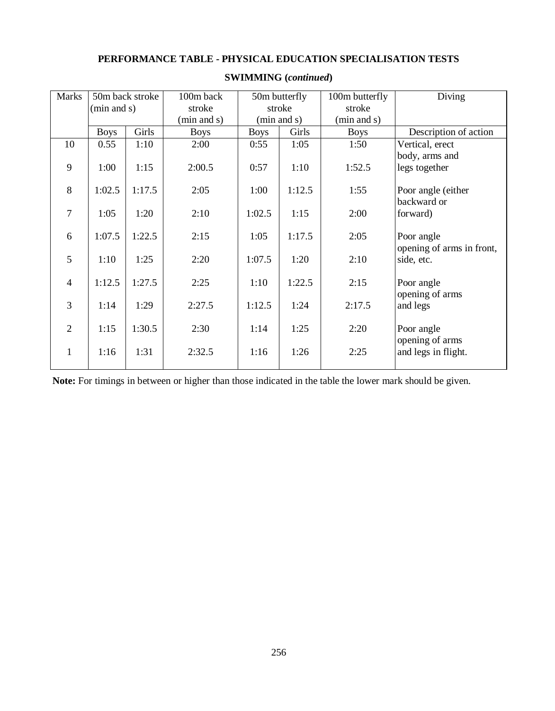## **PERFORMANCE TABLE - PHYSICAL EDUCATION SPECIALISATION TESTS**

| <b>Marks</b>   |             | 50m back stroke | 100m back   |                      | 50m butterfly | 100m butterfly | Diving                    |
|----------------|-------------|-----------------|-------------|----------------------|---------------|----------------|---------------------------|
|                | (min and s) |                 | stroke      | stroke               |               | stroke         |                           |
|                |             |                 | (min and s) | (min and s)          |               | (min and s)    |                           |
|                | <b>Boys</b> | Girls           | <b>Boys</b> | Girls<br><b>Boys</b> |               | <b>Boys</b>    | Description of action     |
| 10             | 0.55        | 1:10            | 2:00        | 0:55                 | 1:05          | 1:50           | Vertical, erect           |
|                |             |                 |             |                      |               |                | body, arms and            |
| 9              | 1:00        | 1:15            | 2:00.5      | 0:57                 | 1:10          | 1:52.5         | legs together             |
|                |             |                 |             |                      |               |                |                           |
| $\,8\,$        | 1:02.5      | 1:17.5          | 2:05        | 1:00                 | 1:12.5        | 1:55           | Poor angle (either        |
|                |             |                 |             |                      |               |                | backward or               |
| $\overline{7}$ | 1:05        | 1:20            | 2:10        | 1:02.5               | 1:15          | 2:00           | forward)                  |
|                |             |                 |             |                      |               |                |                           |
| 6              | 1:07.5      | 1:22.5          | 2:15        | 1:05                 | 1:17.5        | 2:05           | Poor angle                |
|                |             |                 |             |                      |               |                | opening of arms in front, |
| 5              | 1:10        | 1:25            | 2:20        | 1:07.5               | 1:20          | 2:10           | side, etc.                |
|                |             |                 |             |                      |               |                |                           |
| $\overline{4}$ | 1:12.5      | 1:27.5          | 2:25        | 1:10                 | 1:22.5        | 2:15           | Poor angle                |
|                |             |                 |             |                      |               |                | opening of arms           |
| 3              | 1:14        | 1:29            | 2:27.5      | 1:12.5               | 1:24          | 2:17.5         | and legs                  |
|                |             |                 |             |                      |               |                |                           |
| $\overline{2}$ | 1:15        | 1:30.5          | 2:30        | 1:14                 | 1:25          | 2:20           | Poor angle                |
|                |             |                 |             |                      |               |                | opening of arms           |
| $\mathbf{1}$   | 1:16        | 1:31            | 2:32.5      | 1:16                 | 1:26          | 2:25           | and legs in flight.       |
|                |             |                 |             |                      |               |                |                           |

## **SWIMMING (***continued***)**

**Note:** For timings in between or higher than those indicated in the table the lower mark should be given.